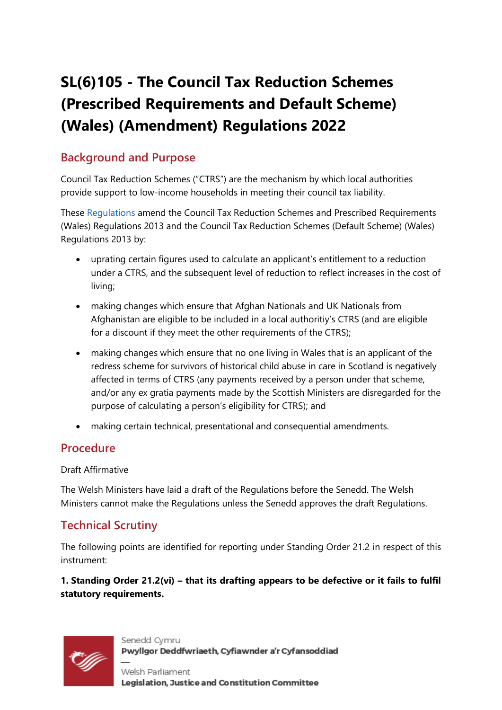# **SL(6)105 - The Council Tax Reduction Schemes (Prescribed Requirements and Default Scheme) (Wales) (Amendment) Regulations 2022**

## **Background and Purpose**

Council Tax Reduction Schemes ("CTRS") are the mechanism by which local authorities provide support to low-income households in meeting their council tax liability.

These [Regulations](https://business.senedd.wales/mgIssueHistoryHome.aspx?IId=38476) amend the Council Tax Reduction Schemes and Prescribed Requirements (Wales) Regulations 2013 and the Council Tax Reduction Schemes (Default Scheme) (Wales) Regulations 2013 by:

- uprating certain figures used to calculate an applicant's entitlement to a reduction under a CTRS, and the subsequent level of reduction to reflect increases in the cost of living;
- making changes which ensure that Afghan Nationals and UK Nationals from Afghanistan are eligible to be included in a local authoritiy's CTRS (and are eligible for a discount if they meet the other requirements of the CTRS);
- making changes which ensure that no one living in Wales that is an applicant of the redress scheme for survivors of historical child abuse in care in Scotland is negatively affected in terms of CTRS (any payments received by a person under that scheme, and/or any ex gratia payments made by the Scottish Ministers are disregarded for the purpose of calculating a person's eligibility for CTRS); and
- making certain technical, presentational and consequential amendments.

### **Procedure**

#### Draft Affirmative

The Welsh Ministers have laid a draft of the Regulations before the Senedd. The Welsh Ministers cannot make the Regulations unless the Senedd approves the draft Regulations.

## **Technical Scrutiny**

The following points are identified for reporting under Standing Order 21.2 in respect of this instrument:

**1. Standing Order 21.2(vi) – that its drafting appears to be defective or it fails to fulfil statutory requirements.**



Senedd Cymru Pwyllgor Deddfwriaeth, Cyfiawnder a'r Cyfansoddiad

Welsh Parliament Legislation, Justice and Constitution Committee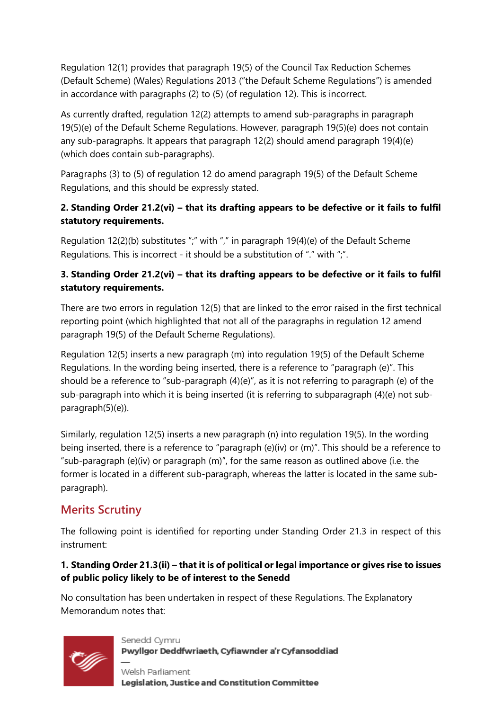Regulation 12(1) provides that paragraph 19(5) of the Council Tax Reduction Schemes (Default Scheme) (Wales) Regulations 2013 ("the Default Scheme Regulations") is amended in accordance with paragraphs (2) to (5) (of regulation 12). This is incorrect.

As currently drafted, regulation 12(2) attempts to amend sub-paragraphs in paragraph 19(5)(e) of the Default Scheme Regulations. However, paragraph 19(5)(e) does not contain any sub-paragraphs. It appears that paragraph 12(2) should amend paragraph 19(4)(e) (which does contain sub-paragraphs).

Paragraphs (3) to (5) of regulation 12 do amend paragraph 19(5) of the Default Scheme Regulations, and this should be expressly stated.

#### **2. Standing Order 21.2(vi) – that its drafting appears to be defective or it fails to fulfil statutory requirements.**

Regulation 12(2)(b) substitutes ";" with "," in paragraph 19(4)(e) of the Default Scheme Regulations. This is incorrect - it should be a substitution of "." with ";".

#### **3. Standing Order 21.2(vi) – that its drafting appears to be defective or it fails to fulfil statutory requirements.**

There are two errors in regulation 12(5) that are linked to the error raised in the first technical reporting point (which highlighted that not all of the paragraphs in regulation 12 amend paragraph 19(5) of the Default Scheme Regulations).

Regulation 12(5) inserts a new paragraph (m) into regulation 19(5) of the Default Scheme Regulations. In the wording being inserted, there is a reference to "paragraph (e)". This should be a reference to "sub-paragraph  $(4)(e)$ ", as it is not referring to paragraph (e) of the sub-paragraph into which it is being inserted (it is referring to subparagraph (4)(e) not subparagraph(5)(e)).

Similarly, regulation 12(5) inserts a new paragraph (n) into regulation 19(5). In the wording being inserted, there is a reference to "paragraph (e)(iv) or (m)". This should be a reference to "sub-paragraph (e)(iv) or paragraph (m)", for the same reason as outlined above (i.e. the former is located in a different sub-paragraph, whereas the latter is located in the same subparagraph).

# **Merits Scrutiny**

The following point is identified for reporting under Standing Order 21.3 in respect of this instrument:

#### **1. Standing Order 21.3(ii) – that it is of political or legal importance or gives rise to issues of public policy likely to be of interest to the Senedd**

No consultation has been undertaken in respect of these Regulations. The Explanatory Memorandum notes that:



Welsh Parliament Legislation, Justice and Constitution Committee